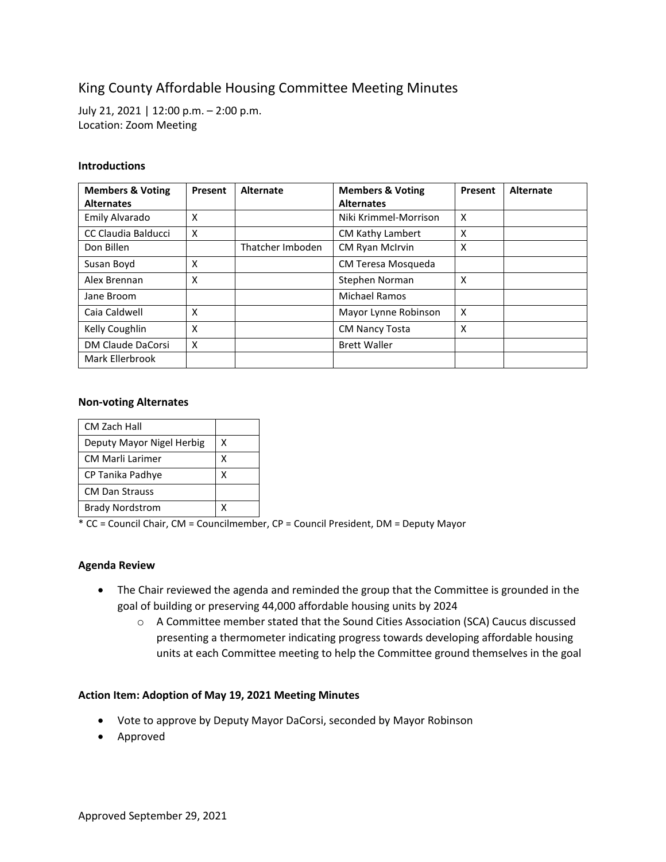# King County Affordable Housing Committee Meeting Minutes

July 21, 2021 | 12:00 p.m. – 2:00 p.m. Location: Zoom Meeting

#### **Introductions**

| <b>Members &amp; Voting</b> | Present | Alternate        | <b>Members &amp; Voting</b> | Present                   | Alternate |
|-----------------------------|---------|------------------|-----------------------------|---------------------------|-----------|
| <b>Alternates</b>           |         |                  | <b>Alternates</b>           |                           |           |
| Emily Alvarado              | X       |                  | Niki Krimmel-Morrison       | $\boldsymbol{\mathsf{x}}$ |           |
| CC Claudia Balducci         | X       |                  | <b>CM Kathy Lambert</b>     | X                         |           |
| Don Billen                  |         | Thatcher Imboden | <b>CM Ryan McIrvin</b>      | X                         |           |
| Susan Boyd                  | X       |                  | CM Teresa Mosqueda          |                           |           |
| Alex Brennan                | X       |                  | Stephen Norman              | X                         |           |
| Jane Broom                  |         |                  | Michael Ramos               |                           |           |
| Caia Caldwell               | X       |                  | Mayor Lynne Robinson        | $\boldsymbol{\mathsf{x}}$ |           |
| Kelly Coughlin              | X       |                  | <b>CM Nancy Tosta</b>       | X                         |           |
| DM Claude DaCorsi           | X       |                  | <b>Brett Waller</b>         |                           |           |
| Mark Ellerbrook             |         |                  |                             |                           |           |

#### **Non-voting Alternates**

| CM Zach Hall              |   |
|---------------------------|---|
| Deputy Mayor Nigel Herbig | x |
| <b>CM Marli Larimer</b>   | х |
| CP Tanika Padhye          | x |
| <b>CM Dan Strauss</b>     |   |
| <b>Brady Nordstrom</b>    |   |

 $*$  CC = Council Chair, CM = Councilmember, CP = Council President, DM = Deputy Mayor

## **Agenda Review**

- The Chair reviewed the agenda and reminded the group that the Committee is grounded in the goal of building or preserving 44,000 affordable housing units by 2024
	- o A Committee member stated that the Sound Cities Association (SCA) Caucus discussed presenting a thermometer indicating progress towards developing affordable housing units at each Committee meeting to help the Committee ground themselves in the goal

## **Action Item: Adoption of May 19, 2021 Meeting Minutes**

- Vote to approve by Deputy Mayor DaCorsi, seconded by Mayor Robinson
- Approved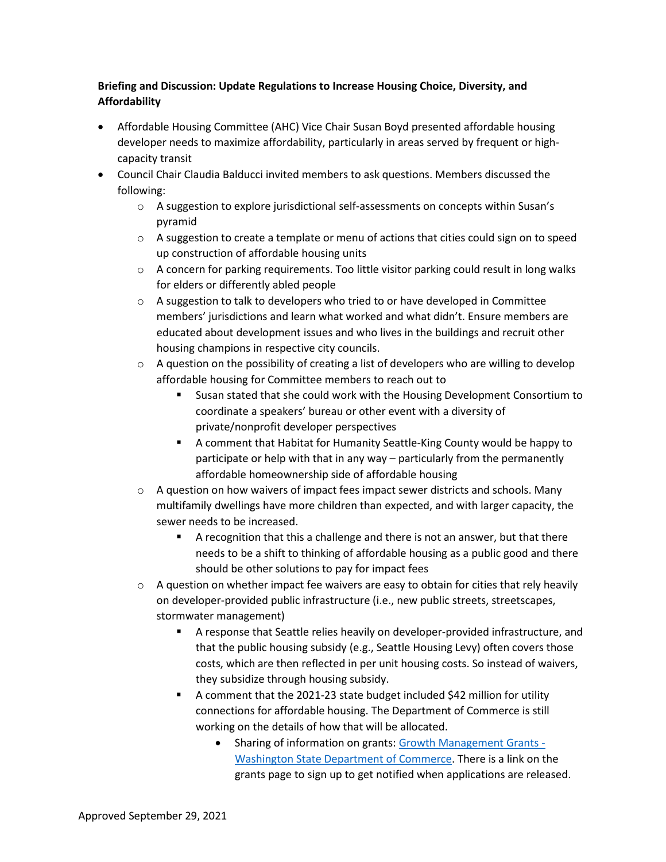## **Briefing and Discussion: Update Regulations to Increase Housing Choice, Diversity, and Affordability**

- Affordable Housing Committee (AHC) Vice Chair Susan Boyd presented affordable housing developer needs to maximize affordability, particularly in areas served by frequent or highcapacity transit
- Council Chair Claudia Balducci invited members to ask questions. Members discussed the following:
	- $\circ$  A suggestion to explore jurisdictional self-assessments on concepts within Susan's pyramid
	- $\circ$  A suggestion to create a template or menu of actions that cities could sign on to speed up construction of affordable housing units
	- $\circ$  A concern for parking requirements. Too little visitor parking could result in long walks for elders or differently abled people
	- $\circ$  A suggestion to talk to developers who tried to or have developed in Committee members' jurisdictions and learn what worked and what didn't. Ensure members are educated about development issues and who lives in the buildings and recruit other housing champions in respective city councils.
	- $\circ$  A question on the possibility of creating a list of developers who are willing to develop affordable housing for Committee members to reach out to
		- Susan stated that she could work with the Housing Development Consortium to coordinate a speakers' bureau or other event with a diversity of private/nonprofit developer perspectives
		- A comment that Habitat for Humanity Seattle-King County would be happy to participate or help with that in any way – particularly from the permanently affordable homeownership side of affordable housing
	- $\circ$  A question on how waivers of impact fees impact sewer districts and schools. Many multifamily dwellings have more children than expected, and with larger capacity, the sewer needs to be increased.
		- A recognition that this a challenge and there is not an answer, but that there needs to be a shift to thinking of affordable housing as a public good and there should be other solutions to pay for impact fees
	- o A question on whether impact fee waivers are easy to obtain for cities that rely heavily on developer-provided public infrastructure (i.e., new public streets, streetscapes, stormwater management)
		- A response that Seattle relies heavily on developer-provided infrastructure, and that the public housing subsidy (e.g., Seattle Housing Levy) often covers those costs, which are then reflected in per unit housing costs. So instead of waivers, they subsidize through housing subsidy.
		- A comment that the 2021-23 state budget included \$42 million for utility connections for affordable housing. The Department of Commerce is still working on the details of how that will be allocated.
			- Sharing of information on grants[: Growth Management Grants -](https://www.commerce.wa.gov/serving-communities/growth-management/growth-management-grants/) [Washington State Department of Commerce.](https://www.commerce.wa.gov/serving-communities/growth-management/growth-management-grants/) There is a link on the grants page to sign up to get notified when applications are released.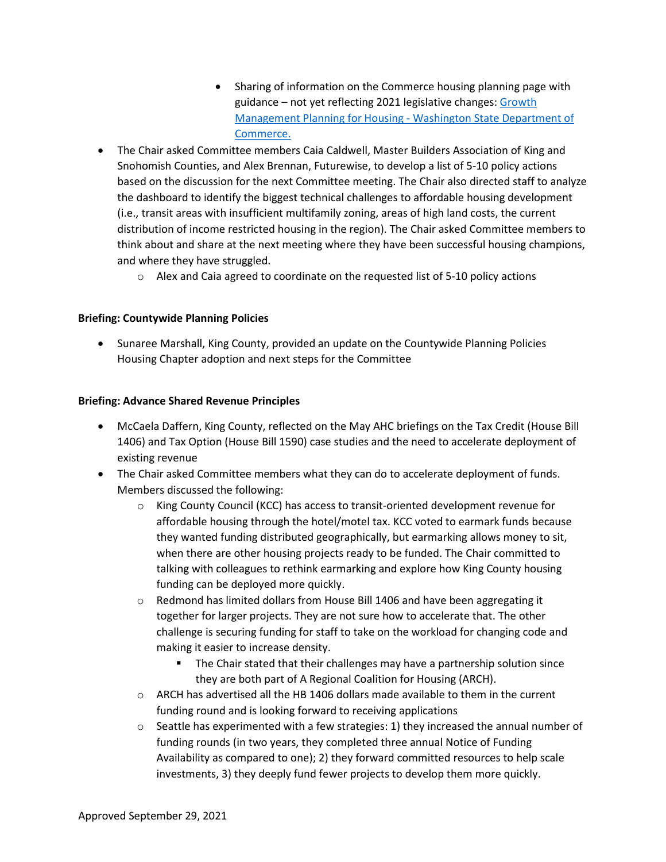- Sharing of information on the Commerce housing planning page with guidance – not yet reflecting 2021 legislative changes: [Growth](https://gcc02.safelinks.protection.outlook.com/?url=https%3A%2F%2Fwww.commerce.wa.gov%2Fserving-communities%2Fgrowth-management%2Fgrowth-management-topics%2Fplanning-for-housing%2F&data=04%7C01%7Cmarias%40kingcounty.gov%7C257b62a233ce4a6a86ec08d94c8b6232%7Cbae5059a76f049d7999672dfe95d69c7%7C0%7C0%7C637624983789537984%7CUnknown%7CTWFpbGZsb3d8eyJWIjoiMC4wLjAwMDAiLCJQIjoiV2luMzIiLCJBTiI6Ik1haWwiLCJXVCI6Mn0%3D%7C1000&sdata=ZGr77jUre1pKsJtYC7NtM1VXPDAdgnufTi61NJOAvDs%3D&reserved=0)  [Management Planning for Housing -](https://gcc02.safelinks.protection.outlook.com/?url=https%3A%2F%2Fwww.commerce.wa.gov%2Fserving-communities%2Fgrowth-management%2Fgrowth-management-topics%2Fplanning-for-housing%2F&data=04%7C01%7Cmarias%40kingcounty.gov%7C257b62a233ce4a6a86ec08d94c8b6232%7Cbae5059a76f049d7999672dfe95d69c7%7C0%7C0%7C637624983789537984%7CUnknown%7CTWFpbGZsb3d8eyJWIjoiMC4wLjAwMDAiLCJQIjoiV2luMzIiLCJBTiI6Ik1haWwiLCJXVCI6Mn0%3D%7C1000&sdata=ZGr77jUre1pKsJtYC7NtM1VXPDAdgnufTi61NJOAvDs%3D&reserved=0) Washington State Department of [Commerce.](https://gcc02.safelinks.protection.outlook.com/?url=https%3A%2F%2Fwww.commerce.wa.gov%2Fserving-communities%2Fgrowth-management%2Fgrowth-management-topics%2Fplanning-for-housing%2F&data=04%7C01%7Cmarias%40kingcounty.gov%7C257b62a233ce4a6a86ec08d94c8b6232%7Cbae5059a76f049d7999672dfe95d69c7%7C0%7C0%7C637624983789537984%7CUnknown%7CTWFpbGZsb3d8eyJWIjoiMC4wLjAwMDAiLCJQIjoiV2luMzIiLCJBTiI6Ik1haWwiLCJXVCI6Mn0%3D%7C1000&sdata=ZGr77jUre1pKsJtYC7NtM1VXPDAdgnufTi61NJOAvDs%3D&reserved=0)
- The Chair asked Committee members Caia Caldwell, Master Builders Association of King and Snohomish Counties, and Alex Brennan, Futurewise, to develop a list of 5-10 policy actions based on the discussion for the next Committee meeting. The Chair also directed staff to analyze the dashboard to identify the biggest technical challenges to affordable housing development (i.e., transit areas with insufficient multifamily zoning, areas of high land costs, the current distribution of income restricted housing in the region). The Chair asked Committee members to think about and share at the next meeting where they have been successful housing champions, and where they have struggled.
	- $\circ$  Alex and Caia agreed to coordinate on the requested list of 5-10 policy actions

## **Briefing: Countywide Planning Policies**

• Sunaree Marshall, King County, provided an update on the Countywide Planning Policies Housing Chapter adoption and next steps for the Committee

## **Briefing: Advance Shared Revenue Principles**

- McCaela Daffern, King County, reflected on the May AHC briefings on the Tax Credit (House Bill 1406) and Tax Option (House Bill 1590) case studies and the need to accelerate deployment of existing revenue
- The Chair asked Committee members what they can do to accelerate deployment of funds. Members discussed the following:
	- $\circ$  King County Council (KCC) has access to transit-oriented development revenue for affordable housing through the hotel/motel tax. KCC voted to earmark funds because they wanted funding distributed geographically, but earmarking allows money to sit, when there are other housing projects ready to be funded. The Chair committed to talking with colleagues to rethink earmarking and explore how King County housing funding can be deployed more quickly.
	- $\circ$  Redmond has limited dollars from House Bill 1406 and have been aggregating it together for larger projects. They are not sure how to accelerate that. The other challenge is securing funding for staff to take on the workload for changing code and making it easier to increase density.
		- **The Chair stated that their challenges may have a partnership solution since** they are both part of A Regional Coalition for Housing (ARCH).
	- $\circ$  ARCH has advertised all the HB 1406 dollars made available to them in the current funding round and is looking forward to receiving applications
	- $\circ$  Seattle has experimented with a few strategies: 1) they increased the annual number of funding rounds (in two years, they completed three annual Notice of Funding Availability as compared to one); 2) they forward committed resources to help scale investments, 3) they deeply fund fewer projects to develop them more quickly.